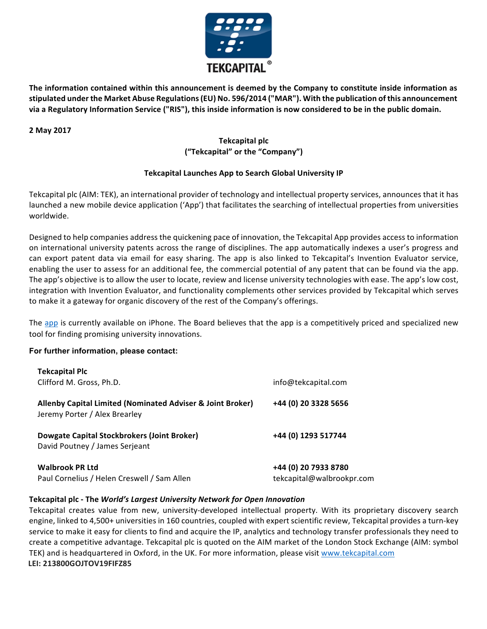

The information contained within this announcement is deemed by the Company to constitute inside information as stipulated under the Market Abuse Regulations (EU) No. 596/2014 ("MAR"). With the publication of this announcement via a Regulatory Information Service ("RIS"), this inside information is now considered to be in the public domain.

### **2 May 2017**

# **Tekcapital plc ("Tekcapital" or the "Company")**

## **Tekcapital Launches App to Search Global University IP**

Tekcapital plc (AIM: TEK), an international provider of technology and intellectual property services, announces that it has launched a new mobile device application ('App') that facilitates the searching of intellectual properties from universities worldwide.

Designed to help companies address the quickening pace of innovation, the Tekcapital App provides access to information on international university patents across the range of disciplines. The app automatically indexes a user's progress and can export patent data via email for easy sharing. The app is also linked to Tekcapital's Invention Evaluator service, enabling the user to assess for an additional fee, the commercial potential of any patent that can be found via the app. The app's objective is to allow the user to locate, review and license university technologies with ease. The app's low cost, integration with Invention Evaluator, and functionality complements other services provided by Tekcapital which serves to make it a gateway for organic discovery of the rest of the Company's offerings.

The app is currently available on iPhone. The Board believes that the app is a competitively priced and specialized new tool for finding promising university innovations.

### **For further information, please contact:**

| <b>Tekcapital Plc</b>                                                                                                   | info@tekcapital.com<br>+44 (0) 20 3328 5656       |
|-------------------------------------------------------------------------------------------------------------------------|---------------------------------------------------|
| Clifford M. Gross, Ph.D.<br>Allenby Capital Limited (Nominated Adviser & Joint Broker)<br>Jeremy Porter / Alex Brearley |                                                   |
|                                                                                                                         |                                                   |
| <b>Walbrook PR Ltd</b><br>Paul Cornelius / Helen Creswell / Sam Allen                                                   | +44 (0) 20 7933 8780<br>tekcapital@walbrookpr.com |

## **Tekcapital plc - The World's Largest University Network for Open Innovation**

Tekcapital creates value from new, university-developed intellectual property. With its proprietary discovery search engine, linked to 4,500+ universities in 160 countries, coupled with expert scientific review, Tekcapital provides a turn-key service to make it easy for clients to find and acquire the IP, analytics and technology transfer professionals they need to create a competitive advantage. Tekcapital plc is quoted on the AIM market of the London Stock Exchange (AIM: symbol TEK) and is headquartered in Oxford, in the UK. For more information, please visit www.tekcapital.com **LEI: 213800GOJTOV19FIFZ85**